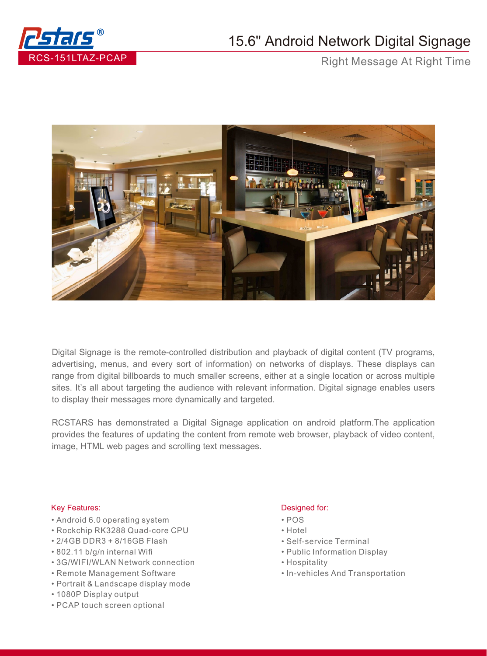

## 15.6" Android Network Digital Signage

Right Message At Right Time



Digital Signage is the remote-controlled distribution and playback of digital content (TV programs, advertising, menus, and every sort of information) on networks of displays. These displays can range from digital billboards to much smaller screens, either at a single location or across multiple sites. It's all about targeting the audience with relevant information. Digital signage enables users to display their messages more dynamically and targeted.

RCSTARS has demonstrated a Digital Signage application on android platform.The application provides the features of updating the content from remote web browser, playback of video content, image, HTML web pages and scrolling text messages.

## Key Features: **Designed for: Designed for:**

- Android 6.0 operating system
- Rockchip RK3288 Quad-core CPU
- 2/4GB DDR3 + 8/16GB Flash
- 802.11 b/g/n internal Wifi
- 3G/WIFI/WLAN Network connection
- Remote Management Software
- Portrait & Landscape display mode
- 1080P Display output
- PCAP touch screen optional

- POS
- Hotel
- Self-service Terminal
- Public Information Display
- Hospitality
- In-vehicles And Transportation